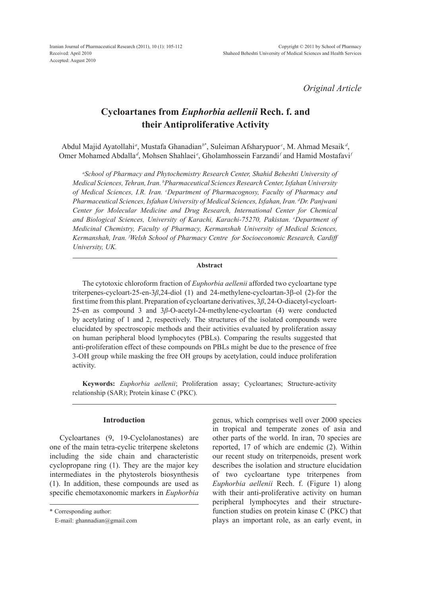*Original Article*

# **Cycloartanes from** *Euphorbia aellenii* **Rech. f. and their Antiproliferative Activity**

Abdul Majid Ayatollahi<sup>a</sup>, Mustafa Ghanadian<sup>b\*</sup>, Suleiman Afsharypuor<sup>c</sup>, M. Ahmad Mesaik<sup>d</sup>, Omer Mohamed Abdalla<sup>d</sup>, Mohsen Shahlaei<sup>e</sup>, Gholamhossein Farzandi<sup>*f*</sup> and Hamid Mostafavi<sup>*f*</sup>

*a School of Pharmacy and Phytochemistry Research Center, Shahid Beheshti University of Medical Sciences, Tehran, Iran. b Pharmaceutical Sciences Research Center, Isfahan University*  of Medical Sciences, I.R. Iran. *Coepartment of Pharmacognosy, Faculty of Pharmacy and Pharmaceutical Sciences, Isfahan University of Medical Sciences, Isfahan, Iran. d Dr. Panjwani Center for Molecular Medicine and Drug Research, International Center for Chemical and Biological Sciences, University of Karachi, Karachi-75270, Pakistan. e Department of Medicinal Chemistry, Faculty of Pharmacy, Kermanshah University of Medical Sciences, Kermanshah, Iran. f Welsh School of Pharmacy Centre for Socioeconomic Research, Cardiff University, UK.*

#### **Abstract**

The cytotoxic chloroform fraction of *Euphorbia aellenii* afforded two cycloartane type triterpenes-cycloart-25-en-3*β*,24-diol (1) and 24-methylene-cycloartan-3β-ol (2)-for the first time from this plant. Preparation of cycloartane derivatives, 3*β*, 24-O-diacetyl-cycloart-25-en as compound 3 and 3*β*-O-acetyl-24-methylene-cycloartan (4) were conducted by acetylating of 1 and 2, respectively. The structures of the isolated compounds were elucidated by spectroscopic methods and their activities evaluated by proliferation assay on human peripheral blood lymphocytes (PBLs). Comparing the results suggested that anti-proliferation effect of these compounds on PBLs might be due to the presence of free 3-OH group while masking the free OH groups by acetylation, could induce proliferation activity.

**Keywords:** *Euphorbia aellenii*; Proliferation assay; Cycloartanes; Structure-activity relationship (SAR); Protein kinase C (PKC).

## **Introduction**

Cycloartanes (9, 19-Cyclolanostanes) are one of the main tetra-cyclic triterpene skeletons including the side chain and characteristic cyclopropane ring (1). They are the major key intermediates in the phytosterols biosynthesis (1). In addition, these compounds are used as specific chemotaxonomic markers in *Euphorbia* genus, which comprises well over 2000 species in tropical and temperate zones of asia and other parts of the world. In iran, 70 species are reported, 17 of which are endemic (2). Within our recent study on triterpenoids, present work describes the isolation and structure elucidation of two cycloartane type triterpenes from *Euphorbia aellenii* Rech. f. (Figure 1) along with their anti-proliferative activity on human peripheral lymphocytes and their structurefunction studies on protein kinase C (PKC) that plays an important role, as an early event, in

<sup>\*</sup> Corresponding author:

E-mail: ghannadian@gmail.com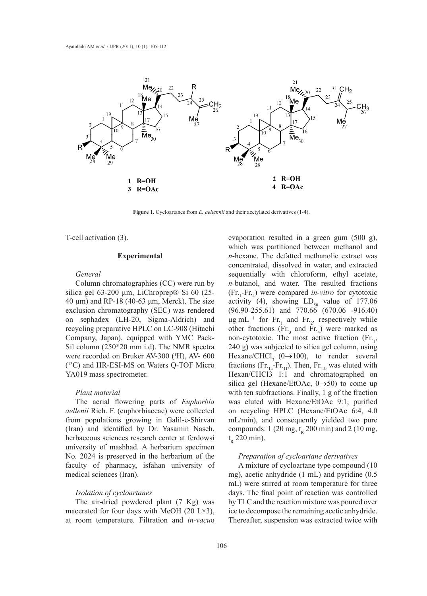

Figure 1. Cycloartanes from *E. aellennii* and their acetylated derivatives (1-4).

T-cell activation (3).

### **Experimental**

## *General*

Column chromatographies (CC) were run by silica gel 63-200 μm, LiChroprep® Si 60 (25- $40 \mu m$ ) and RP-18 (40-63 μm, Merck). The size exclusion chromatography (SEC) was rendered on sephadex (LH-20, Sigma-Aldrich) and recycling preparative HPLC on LC-908 (Hitachi Company, Japan), equipped with YMC Pack-Sil column (250\*20 mm i.d). The NMR spectra were recorded on Bruker AV-300 (<sup>1</sup>H), AV- 600 (13C) and HR-ESI-MS on Waters Q-TOF Micro YA019 mass spectrometer.

### *Plant material*

The aerial flowering parts of *Euphorbia aellenii* Rich. F. (euphorbiaceae) were collected from populations growing in Galil-e-Shirvan (Iran) and identified by Dr. Yasamin Naseh, herbaceous sciences research center at ferdowsi university of mashhad. A herbarium specimen No. 2024 is preserved in the herbarium of the faculty of pharmacy, isfahan university of medical sciences (Iran).

## *Isolation of cycloartanes*

The air-dried powdered plant (7 Kg) was macerated for four days with MeOH (20 L $\times$ 3), at room temperature. Filtration and *in-vacu*o

evaporation resulted in a green gum (500 g), which was partitioned between methanol and *n*-hexane. The defatted methanolic extract was concentrated, dissolved in water, and extracted sequentially with chloroform, ethyl acetate, Column chromatographies (CC) were run by  $n$ -butanol, and water. The resulted fractions (Fr.1 -Fr.4 ) were compared *in-vitro* for cytotoxic activity (4), showing LD<sub>50</sub> value of 177.06 (40-63 μm, Merck). The size activity (4), showing LD<sub>50</sub> value of 177.06 exclusion chromatography (SEC) was rendered  $(96.90-255.61)$  and  $770.66$   $(670.06 -916.40)$  $\mu$ g mL<sup>-1</sup> for Fr.<sub>1</sub> and Fr.<sub>2</sub>, respectively while Therefore,  $\frac{1}{20}$ ,  $\frac{1}{20}$ ,  $\frac{1}{20}$ ,  $\frac{1}{20}$ ,  $\frac{1}{20}$ ,  $\frac{1}{20}$ ,  $\frac{1}{20}$ ,  $\frac{1}{20}$ ,  $\frac{1}{20}$ ,  $\frac{1}{20}$ ,  $\frac{1}{20}$ ,  $\frac{1}{20}$ ,  $\frac{1}{20}$ ,  $\frac{1}{20}$ ,  $\frac{1}{20}$ ,  $\frac{1}{20}$ ,  $\frac{1}{20}$ ,  $\frac{1}{$ MC Pack- non-cytotoxic. The most active fraction  $(\text{Fr}_{1}, \text{Fr}_{2})$ 240 g) was subjected to silica gel column, using Hexane/CHCl<sub>3</sub> (0→100), to render several fractions (Fr. $_{1a}$ -Fr. $_{1f}$ ). Then, Fr. $_{1b}$  was eluted with Hexan/CHCl3 1:1 and chromatographed on silica gel (Hexane/EtOAc,  $0 \rightarrow 50$ ) to come up with ten subfractions. Finally, 1 g of the fraction was eluted with Hexane/EtOAc 9:1, purified on recycling HPLC (Hexane/EtOAc 6:4, 4.0 mL/min), and consequently yielded two pure compounds:  $1 (20 mg, t<sub>p</sub> 200 min)$  and  $2 (10 mg,$  $t_{R}$  220 min).

## *Preparation of cycloartane derivatives*

A mixture of cycloartane type compound (10 mg), acetic anhydride (1 mL) and pyridine (0.5 mL) were stirred at room temperature for three days. The final point of reaction was controlled by TLC and the reaction mixture was poured over ice to decompose the remaining acetic anhydride. Thereafter, suspension was extracted twice with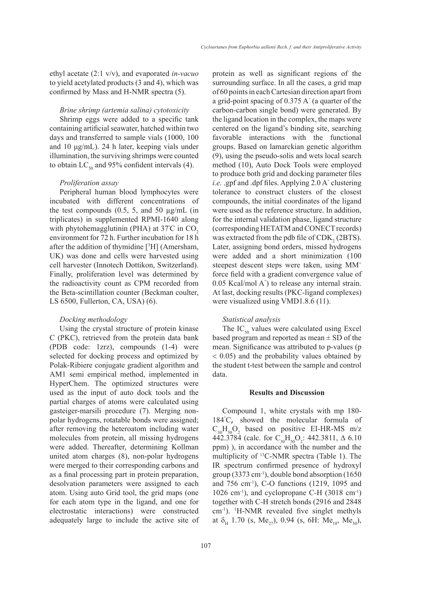ethyl acetate (2:1 v/v), and evaporated *in-vacuo* to yield acetylated products (3 and 4), which was confirmed by Mass and H-NMR spectra (5).

#### *Brine shrimp (artemia salina) cytotoxicity*

Shrimp eggs were added to a specific tank containing artificial seawater, hatched within two days and transferred to sample vials (1000, 100 and 10 μg/mL). 24 h later, keeping vials under illumination, the surviving shrimps were counted to obtain  $LC_{50}$  and 95% confident intervals (4).

## *Proliferation assay*

Peripheral human blood lymphocytes were incubated with different concentrations of the test compounds  $(0.5, 5, \text{ and } 50 \text{ µg/mL}$  (in triplicates) in supplemented RPMI-1640 along with phytohemagglutinin (PHA) at  $37^{\circ}$ C in CO<sub>2</sub> environment for 72 h. Further incubation for 18 h after the addition of thymidine [3 H] (Amersham, UK) was done and cells were harvested using cell harvester (Innotech Dottikon, Switzerland). Finally, proliferation level was determined by the radioactivity count as CPM recorded from the Beta-scintillation counter (Beckman coulter, LS 6500, Fullerton, CA, USA) (6).

### *Docking methodology*

Using the crystal structure of protein kinase C (PKC), retrieved from the protein data bank (PDB code: 1zrz), compounds (1-4) were selected for docking process and optimized by Polak-Ribiere conjugate gradient algorithm and AM1 semi empirical method, implemented in HyperChem. The optimized structures were used as the input of auto dock tools and the partial charges of atoms were calculated using gasteiger-marsili procedure (7). Merging nonpolar hydrogens, rotatable bonds were assigned; after removing the heteroatom including water molecules from protein, all missing hydrogens were added. Thereafter, determining Kollman united atom charges (8), non-polar hydrogens were merged to their corresponding carbons and as a final processing part in protein preparation, desolvation parameters were assigned to each atom. Using auto Grid tool, the grid maps (one for each atom type in the ligand, and one for electrostatic interactions) were constructed adequately large to include the active site of protein as well as significant regions of the surrounding surface. In all the cases, a grid map of 60 points in each Cartesian direction apart from a grid-point spacing of 0.375 A° (a quarter of the carbon-carbon single bond) were generated. By the ligand location in the complex, the maps were centered on the ligand's binding site, searching favorable interactions with the functional groups. Based on lamarckian genetic algorithm (9), using the pseudo-solis and wets local search method (10), Auto Dock Tools were employed to produce both grid and docking parameter files *i.e.* .gpf and .dpf files. Applying 2.0 A° clustering tolerance to construct clusters of the closest compounds, the initial coordinates of the ligand were used as the reference structure. In addition, for the internal validation phase, ligand structure (corresponding HETATM and CONECT records) was extracted from the pdb file of  $CDK_2(2BTS)$ . Later, assigning bond orders, missed hydrogens were added and a short minimization (100 steepest descent steps were taken, using MM+ force field with a gradient convergence value of 0.05 Kcal/mol A° ) to release any internal strain. At last, docking results (PKC-ligand complexes) were visualized using VMD1.8.6 (11).

#### *Statistical analysis*

The  $IC_{50}$  values were calculated using Excel based program and reported as mean ± SD of the mean. Significance was attributed to p-values (p < 0.05) and the probability values obtained by the student t-test between the sample and control data.

#### **Results and Discussion**

Compound 1, white crystals with mp 180- 184° C, showed the molecular formula of  $C_{30}H_{50}O_2$  based on positive EI-HR-MS m/z 442.3784 (calc. for  $C_{30}H_{50}O_2$ : 442.3811,  $\Delta$  6.10 ppm) ), in accordance with the number and the multiplicity of 13C-NMR spectra (Table 1). The IR spectrum confirmed presence of hydroxyl group (3373 cm<sup>-1</sup>), double bond absorption (1650) and 756 cm-1), C-O functions (1219, 1095 and 1026 cm<sup>-1</sup>), and cyclopropane C-H  $(3018 \text{ cm}^{-1})$ together with C-H stretch bonds (2916 and 2848 cm-1). 1 H-NMR revealed five singlet methyls at  $\delta_{H}$  1.70 (s, Me<sub>27</sub>), 0.94 (s, 6H: Me<sub>18</sub>, Me<sub>30</sub>),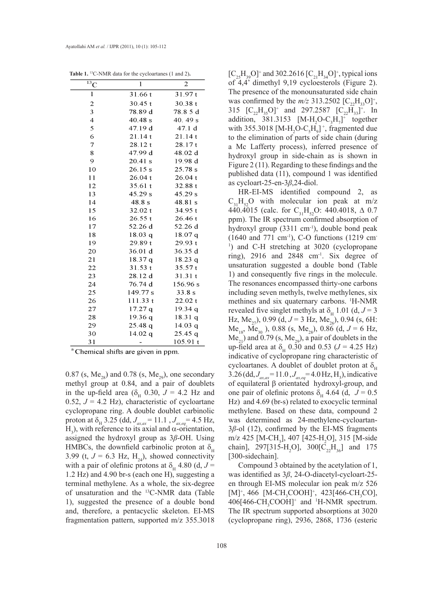| $\bar{^{13}C}$          | 1         | $\overline{2}$ |
|-------------------------|-----------|----------------|
| $\mathbf 1$             | 31.66 t   | 31.97t         |
| $\overline{\mathbf{c}}$ | 30.45t    | 30.38 t        |
| 3                       | 78.89 d   | 78.8 5 d       |
| $\overline{4}$          | 40.48 s   | 40.49 s        |
| 5                       | 47.19 d   | 47.1 d         |
| 6                       | 21.14t    | 21.14t         |
| $\overline{7}$          | 28.12 t   | 28.17t         |
| 8                       | 47.99 d   | 48.02 d        |
| 9                       | $20.41$ s | 19.98 d        |
| 10                      | 26.15 s   | 25.78 s        |
| 11                      | 26.04 t   | 26.04 t        |
| 12                      | 35.61t    | 32.88 t        |
| 13                      | 45.29 s   | 45.29 s        |
| 14                      | 48.8 s    | 48.81 s        |
| 15                      | 32.02 t   | 34.95t         |
| 16                      | 26.55t    | 26.46t         |
| 17                      | 52.26 d   | 52.26 d        |
| 18                      | 18.03q    | 18.07 q        |
| 19                      | 29.89t    | 29.93 t        |
| 20                      | 36.01 d   | 36.35 d        |
| 21                      | 18.37 q   | 18.23q         |
| 22                      | 31.53t    | 35.57t         |
| 23                      | 28.12 d   | 31.31 t        |
| 24                      | 76.74 d   | 156.96 s       |
| 25                      | 149.77 s  | 33.8 s         |
| 26                      | 111.33t   | 22.02 t        |
| 27                      | 17.27q    | 19.34q         |
| 28                      | 19.36q    | 18.31 q        |
| 29                      | 25.48q    | 14.03q         |
| 30                      | $14.02$ q | $25.45$ q      |
| 31                      |           | 105.91t        |

**Table 1**. 13C-NMR data for the cycloartanes (1 and 2)**. Table 1.** 13C-NMR data for the cycloartanes (1 and 2)**.**

<sup>a</sup> Chemical shifts are given in ppm.

0.87 (s,  $Me_{28}$ ) and 0.78 (s,  $Me_{29}$ ), one secondary methyl group at 0.84, and a pair of doublets in the up-field area ( $\delta$ <sub>H</sub> 0.30, *J* = 4.2 Hz and 0.52,  $J = 4.2$  Hz), characteristic of cycloartane cyclopropane ring. A double doublet carbinolic proton at  $\delta_{\rm H}$  3.25 (dd,  $J_{ax,\alpha} = 11.1$ ,  $J_{ax,eq} = 4.5$  Hz, H<sub>3</sub>), with reference to its axial and α-orientation, assigned the hydroxyl group as 3*β*-OH. Using HMBCs, the downfield carbinolic proton at  $\delta_{\rm H}$ 3.99 (t,  $J = 6.3$  Hz, H<sub>24</sub>), showed connectivity with a pair of olefinic protons at  $\delta_{\text{H}}$  4.80 (d,  $J =$ 1.2 Hz) and 4.90 br-s (each one H), suggesting a terminal methylene. As a whole, the six-degree of unsaturation and the 13C-NMR data (Table 1), suggested the presence of a double bond and, therefore, a pentacyclic skeleton. EI-MS fragmentation pattern, supported m/z 355.3018

 $[C_{25}H_{39}O]^+$  and 302.2616  $[C_{21}H_{34}O]^+$ , typical ions of 4,4' dimethyl 9,19 cycloesterols (Figure 2). The presence of the monounsaturated side chain was confirmed by the  $m/z$  313.2502  $[C_{22}H_{33}O]^+$ , 315  $[C_{22}H_{35}O]^+$  and 297.2587  $[C_{22}H_{33}]^+$ . In addition, 381.3153  $[M-H_2O-C_3H_7]^+$  together with 355.3018 [M-H<sub>2</sub>O-C<sub>5</sub>H<sub>9</sub>]<sup>+</sup>, fragmented due to the elimination of parts of side chain (during a Mc Lafferty process), inferred presence of hydroxyl group in side-chain as is shown in Figure 2 (11). Regarding to these findings and the published data (11), compound 1 was identified as cycloart-25-en-3*β*,24-diol.

HR-EI-MS identified compound 2, as  $C_{31}H_{52}O$  with molecular ion peak at m/z 440.4015 (calc. for  $C_{31}H_{52}O$ : 440.4018,  $\Delta$  0.7 ppm). The IR spectrum confirmed absorption of hydroxyl group (3311 cm<sup>-1</sup>), double bond peak (1640 and 771 cm-1), C-O functions (1219 cm-<sup>1</sup>) and C-H stretching at 3020 (cyclopropane ring),  $2916$  and  $2848$  cm<sup>-1</sup>. Six degree of unsaturation suggested a double bond (Table 1) and consequently five rings in the molecule. The resonances encompassed thirty-one carbons including seven methyls, twelve methylenes, six methines and six quaternary carbons. <sup>1</sup>H-NMR revealed five singlet methyls at  $\delta_H$  1.01 (d,  $J = 3$ Hz, Me<sub>27</sub>), 0.99 (d,  $J = 3$  Hz, Me<sub>26</sub>), 0.94 (s, 6H:  $Me_{18}$ , Me<sub>30</sub>), 0.88 (s, Me<sub>28</sub>), 0.86 (d, J = 6 Hz,  $Me<sub>21</sub>$ ) and 0.79 (s, Me<sub>29</sub>), a pair of doublets in the up-field area at δ<sub>H</sub> 0.30 and 0.53 ( $J = 4.25$  Hz) indicative of cyclopropane ring characteristic of cycloartanes. A doublet of doublet proton at  $\delta_{\rm H}$ 3.26 (dd,  $J_{ax,ax} = 11.0$ ,  $J_{ax,eq} = 4.0$  Hz, H<sub>3</sub>), indicative of equilateral β orientated hydroxyl-group, and one pair of olefinic protons  $\delta_H$  4.64 (d,  $J = 0.5$ Hz) and 4.69 (br-s) related to exocyclic terminal methylene. Based on these data, compound 2 was determined as 24-methylene-cycloartan-3*β*-ol (12), confirmed by the EI-MS fragments m/z 425 [M-CH<sub>3</sub>], 407 [425-H<sub>2</sub>O], 315 [M-side chain], 297[315-H<sub>2</sub>O], 300[C<sub>22</sub>H<sub>36</sub>] and 175 [300-sidechain].

Compound 3 obtained by the acetylation of 1, was identified as 3*β*, 24-O-diacetyl-cycloart-25 en through EI-MS molecular ion peak m/z 526  $[M]^+, 466$  [M-CH<sub>3</sub>COOH]<sup>+</sup>, 423[466-CH<sub>3</sub>CO],  $406[466\text{-CH}_3\text{COOH}]^+$  and  $H\text{-NMR}$  spectrum. The IR spectrum supported absorptions at 3020 (cyclopropane ring), 2936, 2868, 1736 (esteric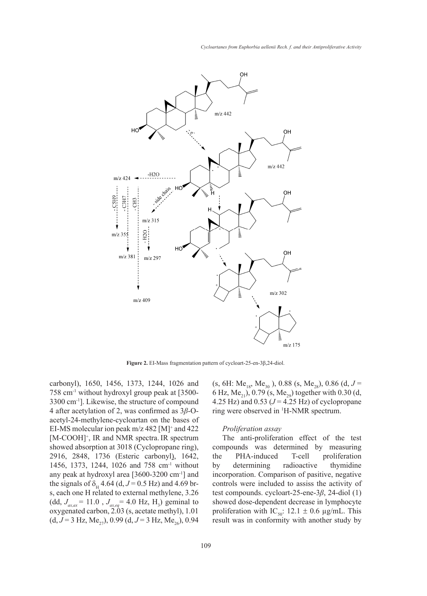

carbonyl), 1650, 1456, 1373, 1244, 1026 and 758 cm-1 without hydroxyl group peak at [3500- 3300 cm-1]. Likewise, the structure of compound 4 after acetylation of 2, was confirmed as 3*β*-O-4 after accely at to 1  $\mu$ , was confirmed as  $\beta$ -O-<br>accely 1-1-NMK spectrum.<br>accely 1-24-methylene-cycloartan on the bases of EI-MS molecular ion peak  $m/z$  482 [M]<sup>+</sup> and 422 *Proliferation assay* [M-COOH]<sup>+</sup>, IR and NMR spectra. IR spectrum showed absorption at 3018 (Cyclopropane ring), compounds was determined by measuring 2916, 2848, 1736 (Esteric carbonyl), 1642, the PHA-induced T-cell proliferation 1456, 1373, 1244, 1026 and 758 cm-1 without any peak at hydroxyl area  $[3600-3200 \text{ cm}^{-1}]$  and the signals of  $\delta_H$  4.64 (d,  $J = 0.5$  Hz) and 4.69 br-<br>controls were included to assiss the activity of s, each one H related to external methylene, 3.26  $(dd, J_{ax,\alpha x} = 11.0, J_{ax,eq} = 4.0 \text{ Hz}, \text{ H}_3$ ) geminal to oxygenated carbon, 2.03 (s, acetate methyl), 1.01  $(d, J = 3 \text{ Hz}, \text{Me}_{27}), 0.99$   $(d, J = 3 \text{ Hz}, \text{Me}_{26}), 0.94$ 3300 cm<sup>-1</sup>]. Likewise, the structure of compound  $4.25$  Hz) and 0.53 ( $J = 4.25$  Hz) of cyclopropane (dd,  $J_{grav} = 11.0$ ,  $J_{arc} = 4.0$  Hz, H<sub>3</sub>) geminal to showed dose-dependent decrease in lymphocyte

perbonyl), 1650, 1456, 1373, 1244, 1026 and (s, 6H: Me<sub>18</sub>, Me<sub>30</sub>), 0.88 (s, Me<sub>28</sub>), 0.86 (d, *J* = 6 Hz, Me<sub>21</sub>), 0.79 (s, Me<sub>29</sub>) together with 0.30 (d, ring were observed in 1 H-NMR spectrum.

#### *Proliferation assay*

a [3600-3200 cm<sup>-1</sup>] and incorporation. Comparison of pasitive, negative The anti-proliferation effect of the test compounds was determined by measuring the PHA-induced T-cell proliferation by determining radioactive thymidine controls were included to assiss the activity of test compounds. cycloart-25-ene-3*β*, 24-diol (1) showed dose-dependent decrease in lymphocyte proliferation with IC<sub>50</sub>:  $12.1 \pm 0.6$  µg/mL. This result was in conformity with another study by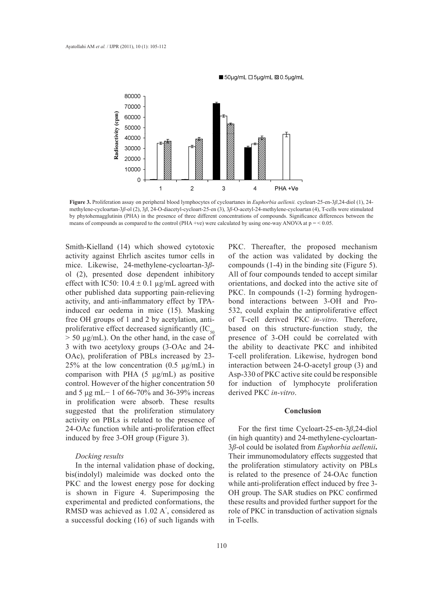

■50µg/mL □5µg/mL Ø 0.5µg/mL



Smith-Kielland (14) which showed cytotoxic PKC. Thereafter, the p activity against Ehrlich ascites tumor cells in mice. Likewise, 24-methylene-cycloartan-3*β*ol (2), presented dose dependent inhibitory effect with IC50:  $10.4 \pm 0.1$  µg/mL agreed with other published data supporting pain-relieving activity, and anti-inflammatory effect by TPAinduced ear oedema in mice (15). Masking free OH groups of 1 and 2 by acetylation, antiproliferative effect decreased significantly  $(IC_{50})$ > 50 µg/mL). On the other hand, in the case of 3 with two acetyloxy groups (3-OAc and 24- OAc), proliferation of PBLs increased by 23- 25% at the low concentration  $(0.5 \text{ µg/mL})$  in comparison with PHA  $(5 \mu g/mL)$  as positive control. However of the higher concentration 50 and 5 μg mL− 1 of 66-70% and 36-39% increas in prolification were absorb. These results suggested that the proliferation stimulatory activity on PBLs is related to the presence of 24-OAc function while anti-proliferation effect induced by free 3-OH group (Figure 3).

#### *Docking results*

In the internal validation phase of docking, bis(indolyl) maleimide was docked onto the PKC and the lowest energy pose for docking is shown in Figure 4. Superimposing the experimental and predicted conformations, the RMSD was achieved as 1.02 A° , considered as a successful docking (16) of such ligands with

PKC. Thereafter, the proposed mechanism of the action was validated by docking the compounds (1-4) in the binding site (Figure 5). All of four compounds tended to accept similar orientations, and docked into the active site of PKC. In compounds (1-2) forming hydrogenbond interactions between 3-OH and Pro-532, could explain the antiproliferative effect of T-cell derived PKC *in-vitro.* Therefore, based on this structure-function study, the presence of 3-OH could be correlated with the ability to deactivate PKC and inhibited T-cell proliferation. Likewise, hydrogen bond interaction between 24-O-acetyl group (3) and Asp-330 of PKC active site could be responsible for induction of lymphocyte proliferation derived PKC *in-vitro*.

#### **Conclusion**

For the first time Cycloart-25-en-3*β*,24-diol (in high quantity) and 24-methylene-cycloartan-3*β*-ol could be isolated from *Euphorbia aellenii***.**  Their immunomodulatory effects suggested that the proliferation stimulatory activity on PBLs is related to the presence of 24-OAc function while anti-proliferation effect induced by free 3- OH group. The SAR studies on PKC confirmed these results and provided further support for the role of PKC in transduction of activation signals in T-cells.